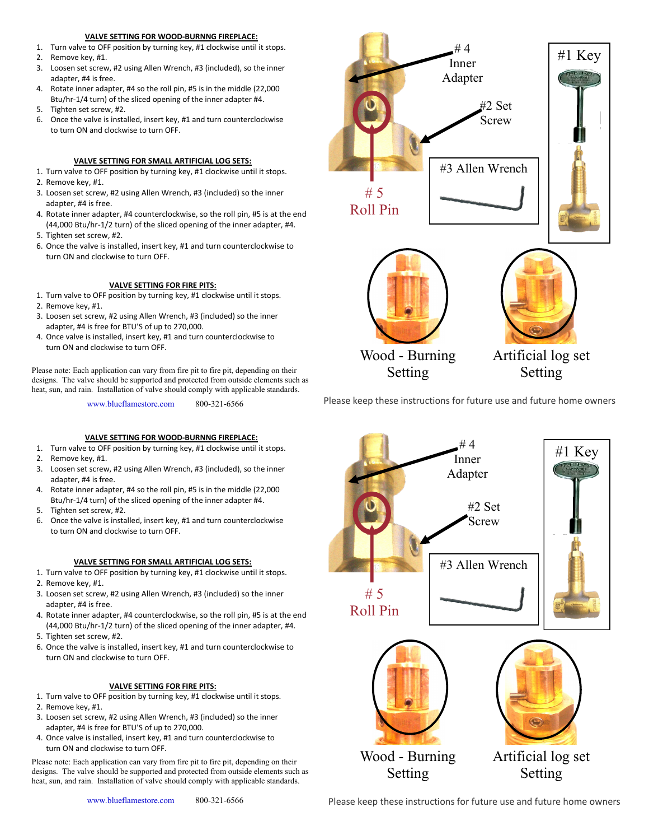## **VALVE SETTING FOR WOOD-BURNNG FIREPLACE:**

- 1. Turn valve to OFF position by turning key, #1 clockwise until it stops.
- 2. Remove key, #1.
- 3. Loosen set screw, #2 using Allen Wrench, #3 (included), so the inner adapter, #4 is free.
- 4. Rotate inner adapter, #4 so the roll pin, #5 is in the middle (22,000 Btu/hr-1/4 turn) of the sliced opening of the inner adapter #4.
- 5. Tighten set screw, #2.
- 6. Once the valve is installed, insert key, #1 and turn counterclockwise to turn ON and clockwise to turn OFF.

# **VALVE SETTING FOR SMALL ARTIFICIAL LOG SETS:**

- 1. Turn valve to OFF position by turning key, #1 clockwise until it stops. 2. Remove key, #1.
- 3. Loosen set screw, #2 using Allen Wrench, #3 (included) so the inner adapter, #4 is free.
- 4. Rotate inner adapter, #4 counterclockwise, so the roll pin, #5 is at the end (44,000 Btu/hr-1/2 turn) of the sliced opening of the inner adapter, #4.
- 5. Tighten set screw, #2.
- 6. Once the valve is installed, insert key, #1 and turn counterclockwise to turn ON and clockwise to turn OFF.

# **VALVE SETTING FOR FIRE PITS:**

- 1. Turn valve to OFF position by turning key, #1 clockwise until it stops.
- 2. Remove key, #1.
- 3. Loosen set screw, #2 using Allen Wrench, #3 (included) so the inner adapter, #4 is free for BTU'S of up to 270,000.
- 4. Once valve is installed, insert key, #1 and turn counterclockwise to turn ON and clockwise to turn OFF.

Please note: Each application can vary from fire pit to fire pit, depending on their designs. The valve should be supported and protected from outside elements such as heat, sun, and rain. Installation of valve should comply with applicable standards.

www.blueflamestore.com 800-321-6566

# **VALVE SETTING FOR WOOD-BURNNG FIREPLACE:**

- 1. Turn valve to OFF position by turning key, #1 clockwise until it stops.
- 2. Remove key, #1.
- 3. Loosen set screw, #2 using Allen Wrench, #3 (included), so the inner adapter, #4 is free.
- 4. Rotate inner adapter, #4 so the roll pin, #5 is in the middle (22,000 Btu/hr-1/4 turn) of the sliced opening of the inner adapter #4.
- 5. Tighten set screw, #2.
- 6. Once the valve is installed, insert key, #1 and turn counterclockwise to turn ON and clockwise to turn OFF.

# **VALVE SETTING FOR SMALL ARTIFICIAL LOG SETS:**

- 1. Turn valve to OFF position by turning key, #1 clockwise until it stops.
- 2. Remove key, #1.
- 3. Loosen set screw, #2 using Allen Wrench, #3 (included) so the inner adapter, #4 is free.
- 4. Rotate inner adapter, #4 counterclockwise, so the roll pin, #5 is at the end (44,000 Btu/hr-1/2 turn) of the sliced opening of the inner adapter, #4.
- 5. Tighten set screw, #2.
- 6. Once the valve is installed, insert key, #1 and turn counterclockwise to turn ON and clockwise to turn OFF.

## **VALVE SETTING FOR FIRE PITS:**

- 1. Turn valve to OFF position by turning key, #1 clockwise until it stops.
- 2. Remove key, #1.
- 3. Loosen set screw, #2 using Allen Wrench, #3 (included) so the inner adapter, #4 is free for BTU'S of up to 270,000.
- 4. Once valve is installed, insert key, #1 and turn counterclockwise to turn ON and clockwise to turn OFF.

Please note: Each application can vary from fire pit to fire pit, depending on their designs. The valve should be supported and protected from outside elements such as heat, sun, and rain. Installation of valve should comply with applicable standards.



Please keep these instructions for future use and future home owners



Please keep these instructions for future use and future home owners